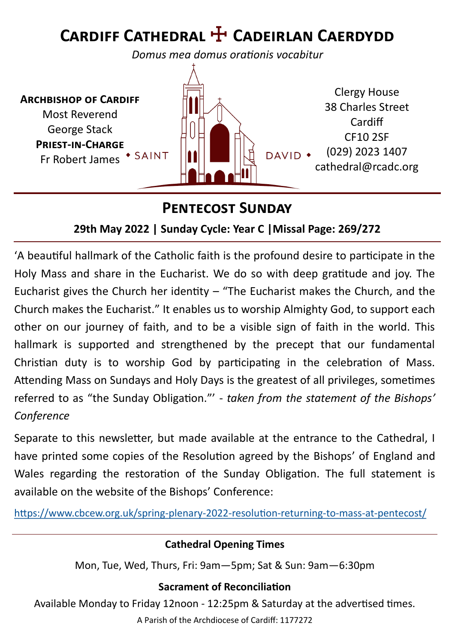# **Cardiff Cathedral** ☩ **Cadeirlan Caerdydd**

*Domus mea domus orationis vocabitur*



#### **Pentecost Sunday**

#### **29th May 2022 | Sunday Cycle: Year C |Missal Page: 269/272**

'A beautiful hallmark of the Catholic faith is the profound desire to participate in the Holy Mass and share in the Eucharist. We do so with deep gratitude and joy. The Eucharist gives the Church her identity  $-$  "The Eucharist makes the Church, and the Church makes the Eucharist." It enables us to worship Almighty God, to support each other on our journey of faith, and to be a visible sign of faith in the world. This hallmark is supported and strengthened by the precept that our fundamental Christian duty is to worship God by participating in the celebration of Mass. Attending Mass on Sundays and Holy Days is the greatest of all privileges, sometimes referred to as "the Sunday Obligation."' - *taken from the statement of the Bishops' Conference*

Separate to this newsletter, but made available at the entrance to the Cathedral, I have printed some copies of the Resolution agreed by the Bishops' of England and Wales regarding the restoration of the Sunday Obligation. The full statement is available on the website of the Bishops' Conference:

[https://www.cbcew.org.uk/spring](https://www.cbcew.org.uk/spring-plenary-2022-resolution-returning-to-mass-at-pentecost/)-plenary-2022-resolution-returning-to-mass-at-pentecost/

#### **Cathedral Opening Times**

Mon, Tue, Wed, Thurs, Fri: 9am—5pm; Sat & Sun: 9am—6:30pm

#### **Sacrament of Reconciliation**

Available Monday to Friday 12noon - 12:25pm & Saturday at the advertised times.

A Parish of the Archdiocese of Cardiff: 1177272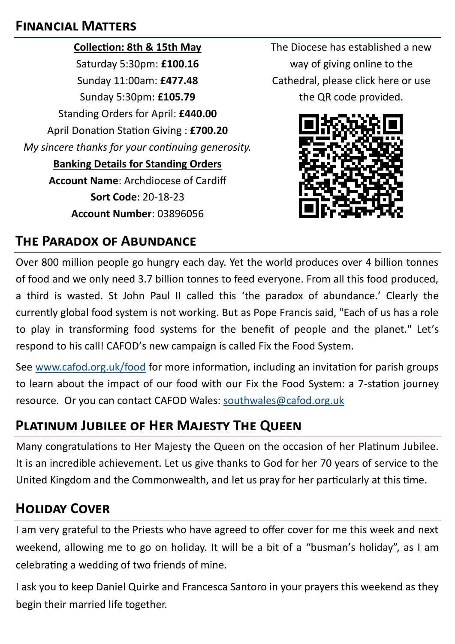#### **Financial Matters**

**Collection: 8th & 15th May** Saturday 5:30pm: **£100.16** Sunday 11:00am: **£477.48** Sunday 5:30pm: **£105.79** Standing Orders for April: **£440.00** April Donation Station Giving : **£700.20** *My sincere thanks for your continuing generosity.*  **Banking Details for Standing Orders Account Name**: Archdiocese of Cardiff **Sort Code**: 20-18-23 **Account Number**: 03896056

The Diocese has established a new way of giving online to the Cathedral, please click here or use the QR code provided.



## **The Paradox of Abundance**

Over 800 million people go hungry each day. Yet the world produces over 4 billion tonnes of food and we only need 3.7 billion tonnes to feed everyone. From all this food produced, a third is wasted. St John Paul II called this 'the paradox of abundance.' Clearly the currently global food system is not working. But as Pope Francis said, "Each of us has a role to play in transforming food systems for the benefit of people and the planet." Let's respond to his call! CAFOD's new campaign is called Fix the Food System.

See [www.cafod.org.uk/food](http://www.cafod.org.uk/food) for more information, including an invitation for parish groups to learn about the impact of our food with our Fix the Food System: a 7-station journey resource. Or you can contact CAFOD Wales: [southwales@cafod.org.uk](mailto:southwales@cafod.org.uk)

## **Platinum Jubilee of Her Majesty The Queen**

Many congratulations to Her Majesty the Queen on the occasion of her Platinum Jubilee. It is an incredible achievement. Let us give thanks to God for her 70 years of service to the United Kingdom and the Commonwealth, and let us pray for her particularly at this time.

## **Holiday Cover**

I am very grateful to the Priests who have agreed to offer cover for me this week and next weekend, allowing me to go on holiday. It will be a bit of a "busman's holiday", as I am celebrating a wedding of two friends of mine.

I ask you to keep Daniel Quirke and Francesca Santoro in your prayers this weekend as they begin their married life together.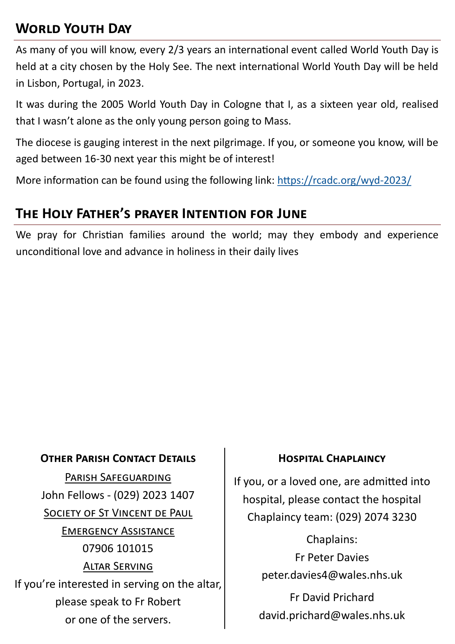## **World Youth Day**

As many of you will know, every 2/3 years an international event called World Youth Day is held at a city chosen by the Holy See. The next international World Youth Day will be held in Lisbon, Portugal, in 2023.

It was during the 2005 World Youth Day in Cologne that I, as a sixteen year old, realised that I wasn't alone as the only young person going to Mass.

The diocese is gauging interest in the next pilgrimage. If you, or someone you know, will be aged between 16-30 next year this might be of interest!

More information can be found using the following link: [https://rcadc.org/wyd](https://rcadc.org/wyd-2023/)-2023/

### **The Holy Father's prayer Intention for June**

We pray for Christian families around the world; may they embody and experience unconditional love and advance in holiness in their daily lives

#### **OTHER PARISH CONTACT DETAILS FOR THE HOSPITAL CHAPLAINCY**

Parish Safeguarding John Fellows - (029) 2023 1407 SOCIETY OF ST VINCENT DE PAUL Emergency Assistance 07906 101015 Altar Serving If you're interested in serving on the altar, please speak to Fr Robert or one of the servers.

If you, or a loved one, are admitted into hospital, please contact the hospital Chaplaincy team: (029) 2074 3230

> Chaplains: Fr Peter Davies peter.davies4@wales.nhs.uk

Fr David Prichard david.prichard@wales.nhs.uk